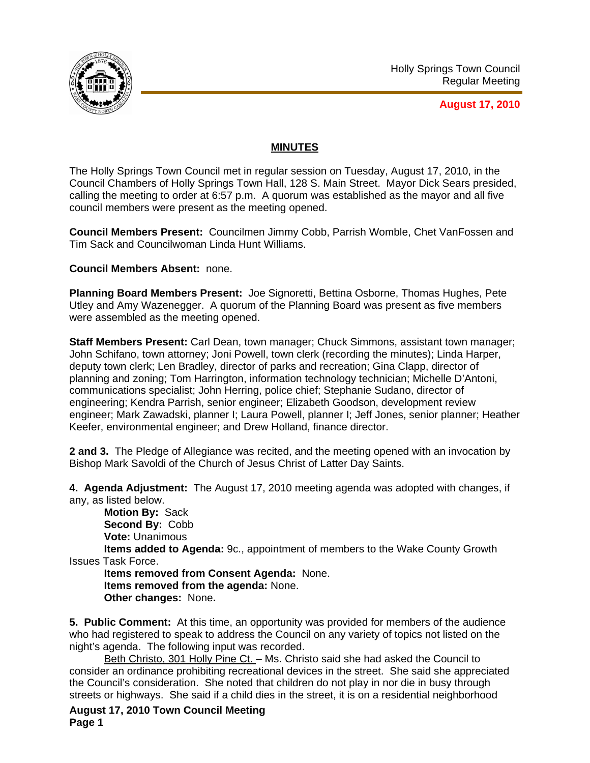

**August 17, 2010**

## **MINUTES**

The Holly Springs Town Council met in regular session on Tuesday, August 17, 2010, in the Council Chambers of Holly Springs Town Hall, 128 S. Main Street. Mayor Dick Sears presided, calling the meeting to order at 6:57 p.m. A quorum was established as the mayor and all five council members were present as the meeting opened.

**Council Members Present:** Councilmen Jimmy Cobb, Parrish Womble, Chet VanFossen and Tim Sack and Councilwoman Linda Hunt Williams.

**Council Members Absent:** none.

**Planning Board Members Present:** Joe Signoretti, Bettina Osborne, Thomas Hughes, Pete Utley and Amy Wazenegger. A quorum of the Planning Board was present as five members were assembled as the meeting opened.

**Staff Members Present:** Carl Dean, town manager; Chuck Simmons, assistant town manager; John Schifano, town attorney; Joni Powell, town clerk (recording the minutes); Linda Harper, deputy town clerk; Len Bradley, director of parks and recreation; Gina Clapp, director of planning and zoning; Tom Harrington, information technology technician; Michelle D'Antoni, communications specialist; John Herring, police chief; Stephanie Sudano, director of engineering; Kendra Parrish, senior engineer; Elizabeth Goodson, development review engineer; Mark Zawadski, planner I; Laura Powell, planner I; Jeff Jones, senior planner; Heather Keefer, environmental engineer; and Drew Holland, finance director.

**2 and 3.** The Pledge of Allegiance was recited, and the meeting opened with an invocation by Bishop Mark Savoldi of the Church of Jesus Christ of Latter Day Saints.

**4. Agenda Adjustment:** The August 17, 2010 meeting agenda was adopted with changes, if any, as listed below.

**Motion By:** Sack **Second By:** Cobb **Vote:** Unanimous

**Items added to Agenda:** 9c., appointment of members to the Wake County Growth Issues Task Force.

**Items removed from Consent Agenda:** None. **Items removed from the agenda:** None. **Other changes:** None**.** 

**5. Public Comment:** At this time, an opportunity was provided for members of the audience who had registered to speak to address the Council on any variety of topics not listed on the night's agenda. The following input was recorded.

Beth Christo, 301 Holly Pine Ct. - Ms. Christo said she had asked the Council to consider an ordinance prohibiting recreational devices in the street. She said she appreciated the Council's consideration. She noted that children do not play in nor die in busy through streets or highways. She said if a child dies in the street, it is on a residential neighborhood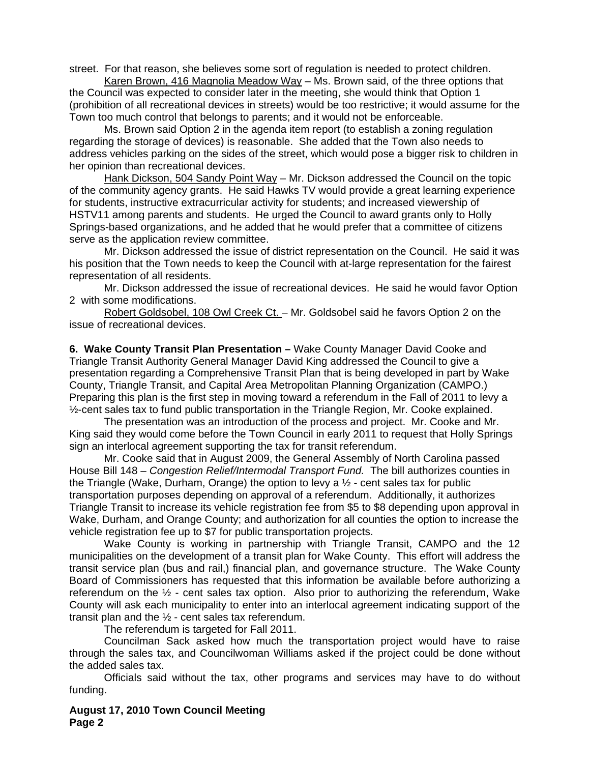street. For that reason, she believes some sort of regulation is needed to protect children.

Karen Brown, 416 Magnolia Meadow Way – Ms. Brown said, of the three options that the Council was expected to consider later in the meeting, she would think that Option 1 (prohibition of all recreational devices in streets) would be too restrictive; it would assume for the Town too much control that belongs to parents; and it would not be enforceable.

Ms. Brown said Option 2 in the agenda item report (to establish a zoning regulation regarding the storage of devices) is reasonable. She added that the Town also needs to address vehicles parking on the sides of the street, which would pose a bigger risk to children in her opinion than recreational devices.

 Hank Dickson, 504 Sandy Point Way – Mr. Dickson addressed the Council on the topic of the community agency grants. He said Hawks TV would provide a great learning experience for students, instructive extracurricular activity for students; and increased viewership of HSTV11 among parents and students. He urged the Council to award grants only to Holly Springs-based organizations, and he added that he would prefer that a committee of citizens serve as the application review committee.

 Mr. Dickson addressed the issue of district representation on the Council. He said it was his position that the Town needs to keep the Council with at-large representation for the fairest representation of all residents.

 Mr. Dickson addressed the issue of recreational devices. He said he would favor Option 2 with some modifications.

 Robert Goldsobel, 108 Owl Creek Ct. – Mr. Goldsobel said he favors Option 2 on the issue of recreational devices.

**6. Wake County Transit Plan Presentation –** Wake County Manager David Cooke and Triangle Transit Authority General Manager David King addressed the Council to give a presentation regarding a Comprehensive Transit Plan that is being developed in part by Wake County, Triangle Transit, and Capital Area Metropolitan Planning Organization (CAMPO.) Preparing this plan is the first step in moving toward a referendum in the Fall of 2011 to levy a ½-cent sales tax to fund public transportation in the Triangle Region, Mr. Cooke explained.

 The presentation was an introduction of the process and project. Mr. Cooke and Mr. King said they would come before the Town Council in early 2011 to request that Holly Springs sign an interlocal agreement supporting the tax for transit referendum.

 Mr. Cooke said that in August 2009, the General Assembly of North Carolina passed House Bill 148 – *Congestion Relief/Intermodal Transport Fund.* The bill authorizes counties in the Triangle (Wake, Durham, Orange) the option to levy a  $\frac{1}{2}$  - cent sales tax for public transportation purposes depending on approval of a referendum. Additionally, it authorizes Triangle Transit to increase its vehicle registration fee from \$5 to \$8 depending upon approval in Wake, Durham, and Orange County; and authorization for all counties the option to increase the vehicle registration fee up to \$7 for public transportation projects.

 Wake County is working in partnership with Triangle Transit, CAMPO and the 12 municipalities on the development of a transit plan for Wake County. This effort will address the transit service plan (bus and rail,) financial plan, and governance structure. The Wake County Board of Commissioners has requested that this information be available before authorizing a referendum on the  $\frac{1}{2}$  - cent sales tax option. Also prior to authorizing the referendum, Wake County will ask each municipality to enter into an interlocal agreement indicating support of the transit plan and the  $\frac{1}{2}$  - cent sales tax referendum.

The referendum is targeted for Fall 2011.

 Councilman Sack asked how much the transportation project would have to raise through the sales tax, and Councilwoman Williams asked if the project could be done without the added sales tax.

 Officials said without the tax, other programs and services may have to do without funding.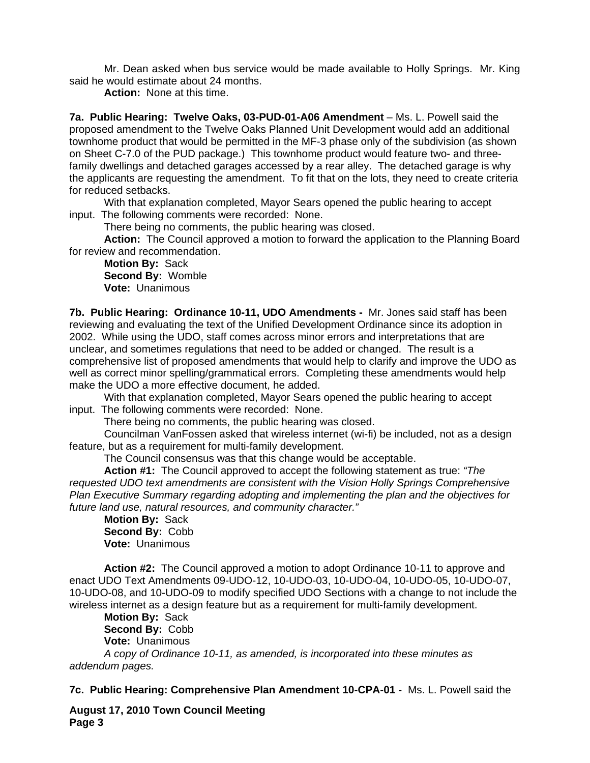Mr. Dean asked when bus service would be made available to Holly Springs. Mr. King said he would estimate about 24 months.

**Action:** None at this time.

**7a. Public Hearing: Twelve Oaks, 03-PUD-01-A06 Amendment** – Ms. L. Powell said the proposed amendment to the Twelve Oaks Planned Unit Development would add an additional townhome product that would be permitted in the MF-3 phase only of the subdivision (as shown on Sheet C-7.0 of the PUD package.) This townhome product would feature two- and threefamily dwellings and detached garages accessed by a rear alley. The detached garage is why the applicants are requesting the amendment. To fit that on the lots, they need to create criteria for reduced setbacks.

 With that explanation completed, Mayor Sears opened the public hearing to accept input. The following comments were recorded: None.

There being no comments, the public hearing was closed.

**Action:** The Council approved a motion to forward the application to the Planning Board for review and recommendation.

**Motion By:** Sack **Second By:** Womble **Vote:** Unanimous

**7b. Public Hearing: Ordinance 10-11, UDO Amendments -** Mr. Jones said staff has been reviewing and evaluating the text of the Unified Development Ordinance since its adoption in 2002. While using the UDO, staff comes across minor errors and interpretations that are unclear, and sometimes regulations that need to be added or changed. The result is a comprehensive list of proposed amendments that would help to clarify and improve the UDO as well as correct minor spelling/grammatical errors. Completing these amendments would help make the UDO a more effective document, he added.

 With that explanation completed, Mayor Sears opened the public hearing to accept input. The following comments were recorded: None.

There being no comments, the public hearing was closed.

Councilman VanFossen asked that wireless internet (wi-fi) be included, not as a design feature, but as a requirement for multi-family development.

The Council consensus was that this change would be acceptable.

**Action #1:** The Council approved to accept the following statement as true: *"The requested UDO text amendments are consistent with the Vision Holly Springs Comprehensive Plan Executive Summary regarding adopting and implementing the plan and the objectives for future land use, natural resources, and community character."* 

**Motion By:** Sack **Second By:** Cobb **Vote:** Unanimous

**Action #2:** The Council approved a motion to adopt Ordinance 10-11 to approve and enact UDO Text Amendments 09-UDO-12, 10-UDO-03, 10-UDO-04, 10-UDO-05, 10-UDO-07, 10-UDO-08, and 10-UDO-09 to modify specified UDO Sections with a change to not include the wireless internet as a design feature but as a requirement for multi-family development.

**Motion By:** Sack **Second By:** Cobb **Vote:** Unanimous

*A copy of Ordinance 10-11, as amended, is incorporated into these minutes as addendum pages.*

**7c. Public Hearing: Comprehensive Plan Amendment 10-CPA-01 -** Ms. L. Powell said the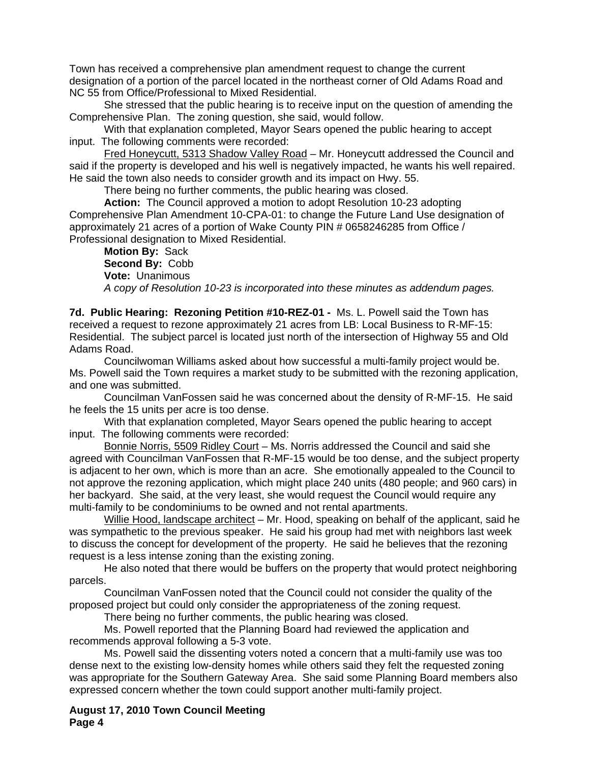Town has received a comprehensive plan amendment request to change the current designation of a portion of the parcel located in the northeast corner of Old Adams Road and NC 55 from Office/Professional to Mixed Residential.

She stressed that the public hearing is to receive input on the question of amending the Comprehensive Plan. The zoning question, she said, would follow.

With that explanation completed, Mayor Sears opened the public hearing to accept input. The following comments were recorded:

Fred Honeycutt, 5313 Shadow Valley Road - Mr. Honeycutt addressed the Council and said if the property is developed and his well is negatively impacted, he wants his well repaired. He said the town also needs to consider growth and its impact on Hwy. 55.

There being no further comments, the public hearing was closed.

**Action:** The Council approved a motion to adopt Resolution 10-23 adopting Comprehensive Plan Amendment 10-CPA-01: to change the Future Land Use designation of approximately 21 acres of a portion of Wake County PIN # 0658246285 from Office / Professional designation to Mixed Residential.

**Motion By:** Sack **Second By:** Cobb **Vote:** Unanimous *A copy of Resolution 10-23 is incorporated into these minutes as addendum pages.*

**7d. Public Hearing: Rezoning Petition #10-REZ-01 -** Ms. L. Powell said the Town has received a request to rezone approximately 21 acres from LB: Local Business to R-MF-15: Residential. The subject parcel is located just north of the intersection of Highway 55 and Old Adams Road.

 Councilwoman Williams asked about how successful a multi-family project would be. Ms. Powell said the Town requires a market study to be submitted with the rezoning application, and one was submitted.

 Councilman VanFossen said he was concerned about the density of R-MF-15. He said he feels the 15 units per acre is too dense.

With that explanation completed, Mayor Sears opened the public hearing to accept input. The following comments were recorded:

Bonnie Norris, 5509 Ridley Court – Ms. Norris addressed the Council and said she agreed with Councilman VanFossen that R-MF-15 would be too dense, and the subject property is adjacent to her own, which is more than an acre. She emotionally appealed to the Council to not approve the rezoning application, which might place 240 units (480 people; and 960 cars) in her backyard. She said, at the very least, she would request the Council would require any multi-family to be condominiums to be owned and not rental apartments.

Willie Hood, landscape architect - Mr. Hood, speaking on behalf of the applicant, said he was sympathetic to the previous speaker. He said his group had met with neighbors last week to discuss the concept for development of the property. He said he believes that the rezoning request is a less intense zoning than the existing zoning.

He also noted that there would be buffers on the property that would protect neighboring parcels.

Councilman VanFossen noted that the Council could not consider the quality of the proposed project but could only consider the appropriateness of the zoning request.

There being no further comments, the public hearing was closed.

Ms. Powell reported that the Planning Board had reviewed the application and recommends approval following a 5-3 vote.

Ms. Powell said the dissenting voters noted a concern that a multi-family use was too dense next to the existing low-density homes while others said they felt the requested zoning was appropriate for the Southern Gateway Area. She said some Planning Board members also expressed concern whether the town could support another multi-family project.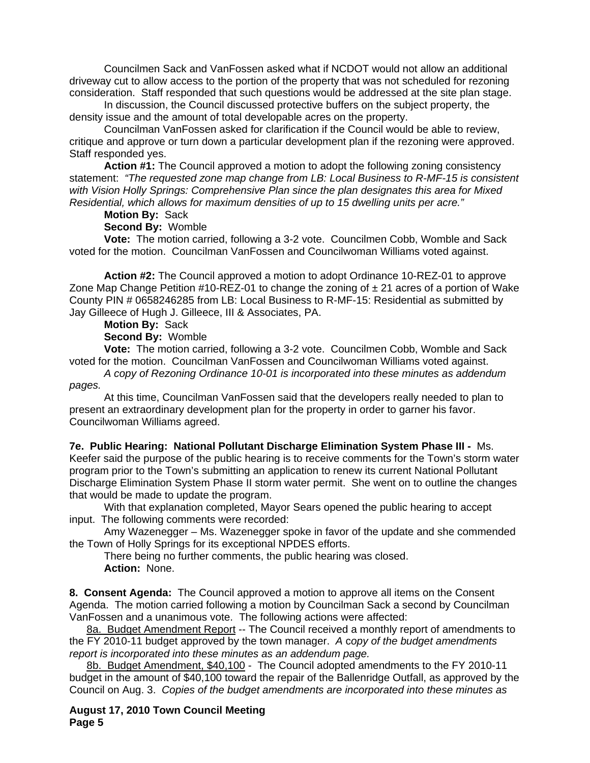Councilmen Sack and VanFossen asked what if NCDOT would not allow an additional driveway cut to allow access to the portion of the property that was not scheduled for rezoning consideration. Staff responded that such questions would be addressed at the site plan stage.

In discussion, the Council discussed protective buffers on the subject property, the density issue and the amount of total developable acres on the property.

Councilman VanFossen asked for clarification if the Council would be able to review, critique and approve or turn down a particular development plan if the rezoning were approved. Staff responded yes.

**Action #1:** The Council approved a motion to adopt the following zoning consistency statement: *"The requested zone map change from LB: Local Business to R-MF-15 is consistent with Vision Holly Springs: Comprehensive Plan since the plan designates this area for Mixed Residential, which allows for maximum densities of up to 15 dwelling units per acre."* 

## **Motion By:** Sack

## **Second By:** Womble

**Vote:** The motion carried, following a 3-2 vote. Councilmen Cobb, Womble and Sack voted for the motion. Councilman VanFossen and Councilwoman Williams voted against.

**Action #2:** The Council approved a motion to adopt Ordinance 10-REZ-01 to approve Zone Map Change Petition  $\#10\text{-}REZ-01$  to change the zoning of  $\pm 21$  acres of a portion of Wake County PIN # 0658246285 from LB: Local Business to R-MF-15: Residential as submitted by Jay Gilleece of Hugh J. Gilleece, III & Associates, PA.

## **Motion By:** Sack

**Second By:** Womble

**Vote:** The motion carried, following a 3-2 vote. Councilmen Cobb, Womble and Sack voted for the motion. Councilman VanFossen and Councilwoman Williams voted against.

*A copy of Rezoning Ordinance 10-01 is incorporated into these minutes as addendum pages.*

At this time, Councilman VanFossen said that the developers really needed to plan to present an extraordinary development plan for the property in order to garner his favor. Councilwoman Williams agreed.

**7e. Public Hearing: National Pollutant Discharge Elimination System Phase III -** Ms. Keefer said the purpose of the public hearing is to receive comments for the Town's storm water program prior to the Town's submitting an application to renew its current National Pollutant Discharge Elimination System Phase II storm water permit. She went on to outline the changes that would be made to update the program.

With that explanation completed, Mayor Sears opened the public hearing to accept input. The following comments were recorded:

Amy Wazenegger – Ms. Wazenegger spoke in favor of the update and she commended the Town of Holly Springs for its exceptional NPDES efforts.

There being no further comments, the public hearing was closed. **Action:** None.

**8. Consent Agenda:** The Council approved a motion to approve all items on the Consent Agenda. The motion carried following a motion by Councilman Sack a second by Councilman VanFossen and a unanimous vote. The following actions were affected:

8a. Budget Amendment Report -- The Council received a monthly report of amendments to the FY 2010-11 budget approved by the town manager. *A* c*opy of the budget amendments report is incorporated into these minutes as an addendum page.*

8b. Budget Amendment, \$40,100 - The Council adopted amendments to the FY 2010-11 budget in the amount of \$40,100 toward the repair of the Ballenridge Outfall, as approved by the Council on Aug. 3. *Copies of the budget amendments are incorporated into these minutes as*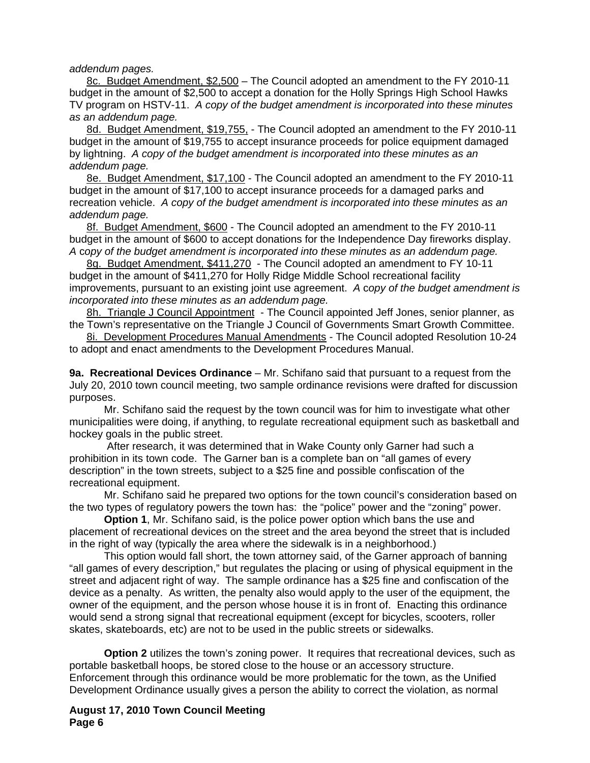*addendum pages.* 

8c. Budget Amendment, \$2,500 – The Council adopted an amendment to the FY 2010-11 budget in the amount of \$2,500 to accept a donation for the Holly Springs High School Hawks TV program on HSTV-11.*A copy of the budget amendment is incorporated into these minutes as an addendum page.*

8d. Budget Amendment, \$19,755, - The Council adopted an amendment to the FY 2010-11 budget in the amount of \$19,755 to accept insurance proceeds for police equipment damaged by lightning. *A copy of the budget amendment is incorporated into these minutes as an addendum page.*

8e. Budget Amendment, \$17,100 - The Council adopted an amendment to the FY 2010-11 budget in the amount of \$17,100 to accept insurance proceeds for a damaged parks and recreation vehicle. *A copy of the budget amendment is incorporated into these minutes as an addendum page.*

8f. Budget Amendment, \$600 - The Council adopted an amendment to the FY 2010-11 budget in the amount of \$600 to accept donations for the Independence Day fireworks display. *A* c*opy of the budget amendment is incorporated into these minutes as an addendum page.*

8g. Budget Amendment, \$411,270 - The Council adopted an amendment to FY 10-11 budget in the amount of \$411,270 for Holly Ridge Middle School recreational facility improvements, pursuant to an existing joint use agreement. *A* c*opy of the budget amendment is incorporated into these minutes as an addendum page.*

8h. Triangle J Council Appointment - The Council appointed Jeff Jones, senior planner, as the Town's representative on the Triangle J Council of Governments Smart Growth Committee.

8i. Development Procedures Manual Amendments - The Council adopted Resolution 10-24 to adopt and enact amendments to the Development Procedures Manual.

**9a. Recreational Devices Ordinance** – Mr. Schifano said that pursuant to a request from the July 20, 2010 town council meeting, two sample ordinance revisions were drafted for discussion purposes.

 Mr. Schifano said the request by the town council was for him to investigate what other municipalities were doing, if anything, to regulate recreational equipment such as basketball and hockey goals in the public street.

 After research, it was determined that in Wake County only Garner had such a prohibition in its town code. The Garner ban is a complete ban on "all games of every description" in the town streets, subject to a \$25 fine and possible confiscation of the recreational equipment.

 Mr. Schifano said he prepared two options for the town council's consideration based on the two types of regulatory powers the town has: the "police" power and the "zoning" power.

**Option 1**, Mr. Schifano said, is the police power option which bans the use and placement of recreational devices on the street and the area beyond the street that is included in the right of way (typically the area where the sidewalk is in a neighborhood.)

This option would fall short, the town attorney said, of the Garner approach of banning "all games of every description," but regulates the placing or using of physical equipment in the street and adjacent right of way. The sample ordinance has a \$25 fine and confiscation of the device as a penalty. As written, the penalty also would apply to the user of the equipment, the owner of the equipment, and the person whose house it is in front of. Enacting this ordinance would send a strong signal that recreational equipment (except for bicycles, scooters, roller skates, skateboards, etc) are not to be used in the public streets or sidewalks.

**Option 2** utilizes the town's zoning power. It requires that recreational devices, such as portable basketball hoops, be stored close to the house or an accessory structure. Enforcement through this ordinance would be more problematic for the town, as the Unified Development Ordinance usually gives a person the ability to correct the violation, as normal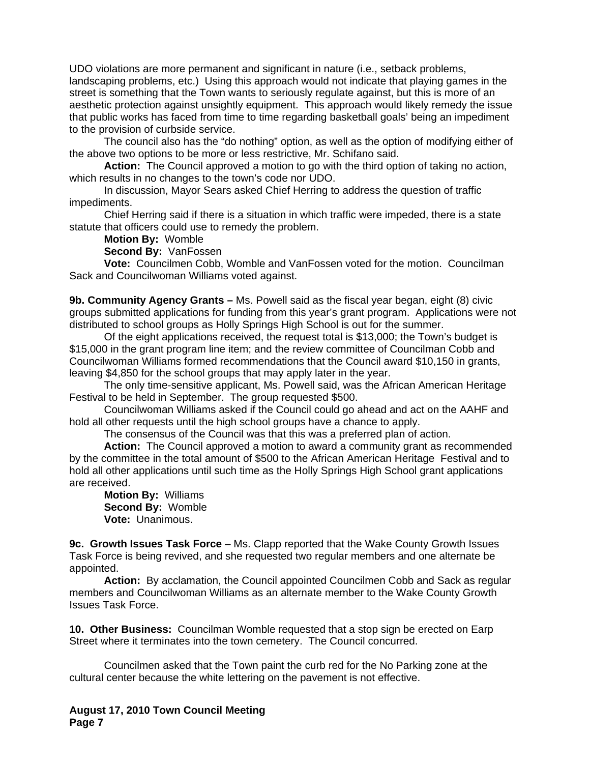UDO violations are more permanent and significant in nature (i.e., setback problems, landscaping problems, etc.) Using this approach would not indicate that playing games in the street is something that the Town wants to seriously regulate against, but this is more of an aesthetic protection against unsightly equipment. This approach would likely remedy the issue that public works has faced from time to time regarding basketball goals' being an impediment to the provision of curbside service.

 The council also has the "do nothing" option, as well as the option of modifying either of the above two options to be more or less restrictive, Mr. Schifano said.

**Action:** The Council approved a motion to go with the third option of taking no action, which results in no changes to the town's code nor UDO.

 In discussion, Mayor Sears asked Chief Herring to address the question of traffic impediments.

 Chief Herring said if there is a situation in which traffic were impeded, there is a state statute that officers could use to remedy the problem.

**Motion By:** Womble

**Second By:** VanFossen

**Vote:** Councilmen Cobb, Womble and VanFossen voted for the motion. Councilman Sack and Councilwoman Williams voted against.

**9b. Community Agency Grants –** Ms. Powell said as the fiscal year began, eight (8) civic groups submitted applications for funding from this year's grant program. Applications were not distributed to school groups as Holly Springs High School is out for the summer.

 Of the eight applications received, the request total is \$13,000; the Town's budget is \$15,000 in the grant program line item; and the review committee of Councilman Cobb and Councilwoman Williams formed recommendations that the Council award \$10,150 in grants, leaving \$4,850 for the school groups that may apply later in the year.

 The only time-sensitive applicant, Ms. Powell said, was the African American Heritage Festival to be held in September. The group requested \$500.

 Councilwoman Williams asked if the Council could go ahead and act on the AAHF and hold all other requests until the high school groups have a chance to apply.

The consensus of the Council was that this was a preferred plan of action.

**Action:** The Council approved a motion to award a community grant as recommended by the committee in the total amount of \$500 to the African American Heritage Festival and to hold all other applications until such time as the Holly Springs High School grant applications are received.

**Motion By:** Williams **Second By:** Womble **Vote:** Unanimous.

**9c. Growth Issues Task Force** *–* Ms. Clapp reported that the Wake County Growth Issues Task Force is being revived, and she requested two regular members and one alternate be appointed.

**Action:** By acclamation, the Council appointed Councilmen Cobb and Sack as regular members and Councilwoman Williams as an alternate member to the Wake County Growth Issues Task Force.

**10. Other Business:** Councilman Womble requested that a stop sign be erected on Earp Street where it terminates into the town cemetery. The Council concurred.

 Councilmen asked that the Town paint the curb red for the No Parking zone at the cultural center because the white lettering on the pavement is not effective.